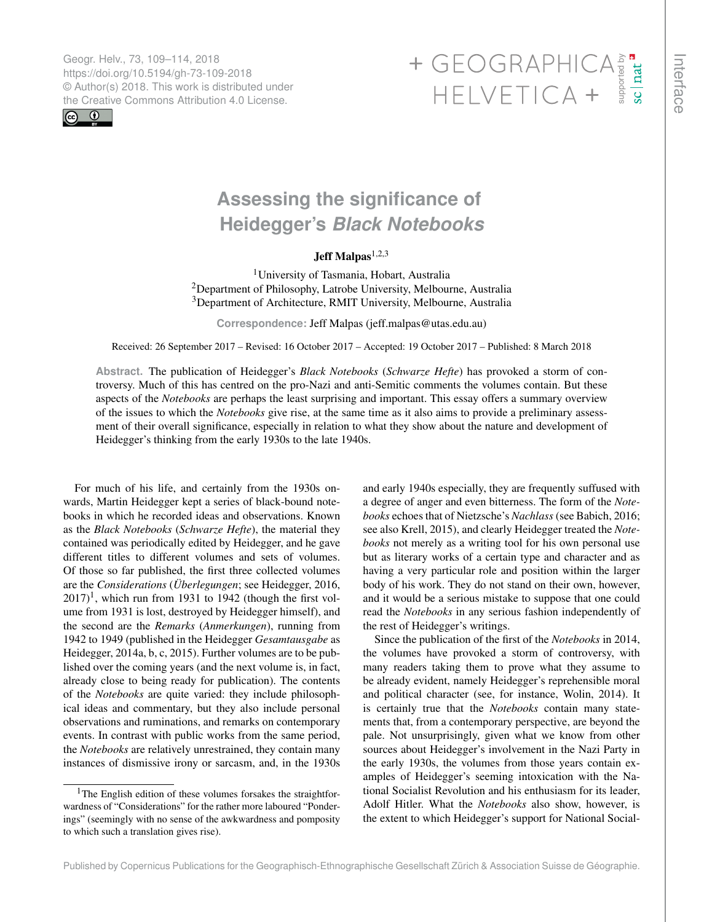Geogr. Helv., 73, 109–114, 2018 https://doi.org/10.5194/gh-73-109-2018 © Author(s) 2018. This work is distributed under



# <span id="page-0-1"></span>Geogr. Helv., 73, 109–114, 2018<br>https://doi.org/10.5194/gh-73-109-2018<br>
© Author(s) 2018. This work is distributed under<br>
the Creative Commons Attribution 4.0 License.<br>
HELVETICA +

# **Assessing the significance of Heidegger's** *Black Notebooks*

## Jeff Malpas $1,2,3$

<sup>1</sup>University of Tasmania, Hobart, Australia <sup>2</sup>Department of Philosophy, Latrobe University, Melbourne, Australia <sup>3</sup>Department of Architecture, RMIT University, Melbourne, Australia

**Correspondence:** Jeff Malpas (jeff.malpas@utas.edu.au)

Received: 26 September 2017 – Revised: 16 October 2017 – Accepted: 19 October 2017 – Published: 8 March 2018

**Abstract.** The publication of Heidegger's *Black Notebooks* (*Schwarze Hefte*) has provoked a storm of controversy. Much of this has centred on the pro-Nazi and anti-Semitic comments the volumes contain. But these aspects of the *Notebooks* are perhaps the least surprising and important. This essay offers a summary overview of the issues to which the *Notebooks* give rise, at the same time as it also aims to provide a preliminary assessment of their overall significance, especially in relation to what they show about the nature and development of Heidegger's thinking from the early 1930s to the late 1940s.

<span id="page-0-0"></span>For much of his life, and certainly from the 1930s onwards, Martin Heidegger kept a series of black-bound notebooks in which he recorded ideas and observations. Known as the *Black Notebooks* (*Schwarze Hefte*), the material they contained was periodically edited by Heidegger, and he gave different titles to different volumes and sets of volumes. Of those so far published, the first three collected volumes are the *Considerations* (*Überlegungen*; see Heidegger, 2016,  $2017$ <sup>1</sup>, which run from 1931 to 1942 (though the first volume from 1931 is lost, destroyed by Heidegger himself), and the second are the *Remarks* (*Anmerkungen*), running from 1942 to 1949 (published in the Heidegger *Gesamtausgabe* as Heidegger, 2014a, b, c, 2015). Further volumes are to be published over the coming years (and the next volume is, in fact, already close to being ready for publication). The contents of the *Notebooks* are quite varied: they include philosophical ideas and commentary, but they also include personal observations and ruminations, and remarks on contemporary events. In contrast with public works from the same period, the *Notebooks* are relatively unrestrained, they contain many instances of dismissive irony or sarcasm, and, in the 1930s

<sup>1</sup>The English edition of these volumes forsakes the straightforwardness of "Considerations" for the rather more laboured "Ponderings" (seemingly with no sense of the awkwardness and pomposity to which such a translation gives rise).

and early 1940s especially, they are frequently suffused with a degree of anger and even bitterness. The form of the *Notebooks* echoes that of Nietzsche's *Nachlass* (see Babich, 2016; see also Krell, 2015), and clearly Heidegger treated the *Notebooks* not merely as a writing tool for his own personal use but as literary works of a certain type and character and as having a very particular role and position within the larger body of his work. They do not stand on their own, however, and it would be a serious mistake to suppose that one could read the *Notebooks* in any serious fashion independently of the rest of Heidegger's writings.

Since the publication of the first of the *Notebooks* in 2014, the volumes have provoked a storm of controversy, with many readers taking them to prove what they assume to be already evident, namely Heidegger's reprehensible moral and political character (see, for instance, Wolin, 2014). It is certainly true that the *Notebooks* contain many statements that, from a contemporary perspective, are beyond the pale. Not unsurprisingly, given what we know from other sources about Heidegger's involvement in the Nazi Party in the early 1930s, the volumes from those years contain examples of Heidegger's seeming intoxication with the National Socialist Revolution and his enthusiasm for its leader, Adolf Hitler. What the *Notebooks* also show, however, is the extent to which Heidegger's support for National Social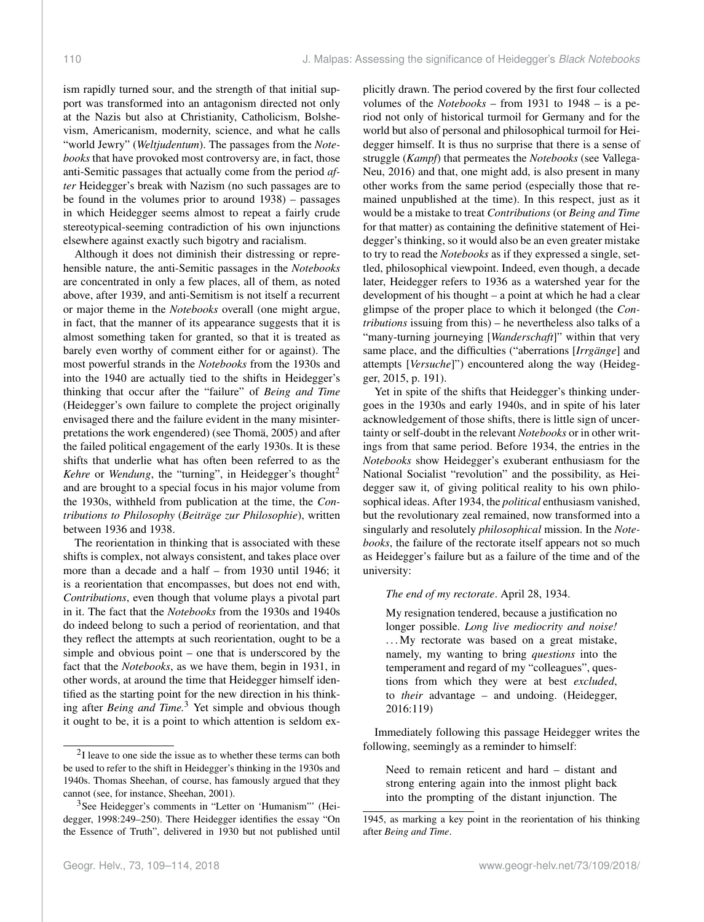ism rapidly turned sour, and the strength of that initial support was transformed into an antagonism directed not only at the Nazis but also at Christianity, Catholicism, Bolshevism, Americanism, modernity, science, and what he calls "world Jewry" (*Weltjudentum*). The passages from the *Notebooks* that have provoked most controversy are, in fact, those anti-Semitic passages that actually come from the period *after* Heidegger's break with Nazism (no such passages are to be found in the volumes prior to around 1938) – passages in which Heidegger seems almost to repeat a fairly crude stereotypical-seeming contradiction of his own injunctions elsewhere against exactly such bigotry and racialism.

Although it does not diminish their distressing or reprehensible nature, the anti-Semitic passages in the *Notebooks* are concentrated in only a few places, all of them, as noted above, after 1939, and anti-Semitism is not itself a recurrent or major theme in the *Notebooks* overall (one might argue, in fact, that the manner of its appearance suggests that it is almost something taken for granted, so that it is treated as barely even worthy of comment either for or against). The most powerful strands in the *Notebooks* from the 1930s and into the 1940 are actually tied to the shifts in Heidegger's thinking that occur after the "failure" of *Being and Time* (Heidegger's own failure to complete the project originally envisaged there and the failure evident in the many misinterpretations the work engendered) (see Thomä, 2005) and after the failed political engagement of the early 1930s. It is these shifts that underlie what has often been referred to as the *Kehre* or *Wendung*, the "turning", in Heidegger's thought<sup>2</sup> and are brought to a special focus in his major volume from the 1930s, withheld from publication at the time, the *Contributions to Philosophy* (*Beiträge zur Philosophie*), written between 1936 and 1938.

The reorientation in thinking that is associated with these shifts is complex, not always consistent, and takes place over more than a decade and a half – from 1930 until 1946; it is a reorientation that encompasses, but does not end with, *Contributions*, even though that volume plays a pivotal part in it. The fact that the *Notebooks* from the 1930s and 1940s do indeed belong to such a period of reorientation, and that they reflect the attempts at such reorientation, ought to be a simple and obvious point – one that is underscored by the fact that the *Notebooks*, as we have them, begin in 1931, in other words, at around the time that Heidegger himself identified as the starting point for the new direction in his thinking after *Being and Time.*<sup>3</sup> Yet simple and obvious though it ought to be, it is a point to which attention is seldom explicitly drawn. The period covered by the first four collected volumes of the *Notebooks* – from 1931 to 1948 – is a period not only of historical turmoil for Germany and for the world but also of personal and philosophical turmoil for Heidegger himself. It is thus no surprise that there is a sense of struggle (*Kampf*) that permeates the *Notebooks* (see Vallega-Neu, 2016) and that, one might add, is also present in many other works from the same period (especially those that remained unpublished at the time). In this respect, just as it would be a mistake to treat *Contributions* (or *Being and Time* for that matter) as containing the definitive statement of Heidegger's thinking, so it would also be an even greater mistake to try to read the *Notebooks* as if they expressed a single, settled, philosophical viewpoint. Indeed, even though, a decade later, Heidegger refers to 1936 as a watershed year for the development of his thought – a point at which he had a clear glimpse of the proper place to which it belonged (the *Contributions* issuing from this) – he nevertheless also talks of a "many-turning journeying [*Wanderschaft*]" within that very same place, and the difficulties ("aberrations [*Irrgänge*] and attempts [*Versuche*]") encountered along the way (Heidegger, 2015, p. 191).

Yet in spite of the shifts that Heidegger's thinking undergoes in the 1930s and early 1940s, and in spite of his later acknowledgement of those shifts, there is little sign of uncertainty or self-doubt in the relevant *Notebooks* or in other writings from that same period. Before 1934, the entries in the *Notebooks* show Heidegger's exuberant enthusiasm for the National Socialist "revolution" and the possibility, as Heidegger saw it, of giving political reality to his own philosophical ideas. After 1934, the *political* enthusiasm vanished, but the revolutionary zeal remained, now transformed into a singularly and resolutely *philosophical* mission. In the *Notebooks*, the failure of the rectorate itself appears not so much as Heidegger's failure but as a failure of the time and of the university:

*The end of my rectorate*. April 28, 1934.

My resignation tendered, because a justification no longer possible. *Long live mediocrity and noise!* ...My rectorate was based on a great mistake, namely, my wanting to bring *questions* into the temperament and regard of my "colleagues", questions from which they were at best *excluded*, to *their* advantage – and undoing. (Heidegger, 2016:119)

Immediately following this passage Heidegger writes the following, seemingly as a reminder to himself:

Need to remain reticent and hard – distant and strong entering again into the inmost plight back into the prompting of the distant injunction. The

 $2I$  leave to one side the issue as to whether these terms can both be used to refer to the shift in Heidegger's thinking in the 1930s and 1940s. Thomas Sheehan, of course, has famously argued that they cannot (see, for instance, Sheehan, 2001).

<sup>&</sup>lt;sup>3</sup>See Heidegger's comments in "Letter on 'Humanism"' (Heidegger, 1998:249–250). There Heidegger identifies the essay "On the Essence of Truth", delivered in 1930 but not published until

<sup>1945,</sup> as marking a key point in the reorientation of his thinking after *Being and Time*.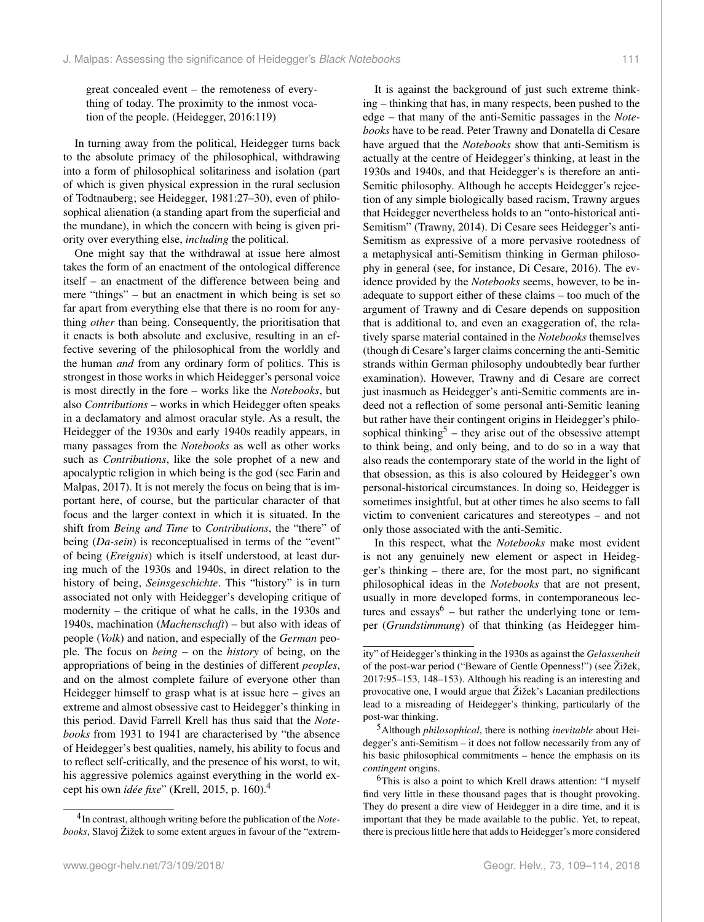great concealed event – the remoteness of everything of today. The proximity to the inmost vocation of the people. (Heidegger, 2016:119)

In turning away from the political, Heidegger turns back to the absolute primacy of the philosophical, withdrawing into a form of philosophical solitariness and isolation (part of which is given physical expression in the rural seclusion of Todtnauberg; see Heidegger, 1981:27–30), even of philosophical alienation (a standing apart from the superficial and the mundane), in which the concern with being is given priority over everything else, *including* the political.

One might say that the withdrawal at issue here almost takes the form of an enactment of the ontological difference itself – an enactment of the difference between being and mere "things" – but an enactment in which being is set so far apart from everything else that there is no room for anything *other* than being. Consequently, the prioritisation that it enacts is both absolute and exclusive, resulting in an effective severing of the philosophical from the worldly and the human *and* from any ordinary form of politics. This is strongest in those works in which Heidegger's personal voice is most directly in the fore – works like the *Notebooks*, but also *Contributions* – works in which Heidegger often speaks in a declamatory and almost oracular style. As a result, the Heidegger of the 1930s and early 1940s readily appears, in many passages from the *Notebooks* as well as other works such as *Contributions*, like the sole prophet of a new and apocalyptic religion in which being is the god (see Farin and Malpas, 2017). It is not merely the focus on being that is important here, of course, but the particular character of that focus and the larger context in which it is situated. In the shift from *Being and Time* to *Contributions*, the "there" of being (*Da-sein*) is reconceptualised in terms of the "event" of being (*Ereignis*) which is itself understood, at least during much of the 1930s and 1940s, in direct relation to the history of being, *Seinsgeschichte*. This "history" is in turn associated not only with Heidegger's developing critique of modernity – the critique of what he calls, in the 1930s and 1940s, machination (*Machenschaft*) – but also with ideas of people (*Volk*) and nation, and especially of the *German* people. The focus on *being* – on the *history* of being, on the appropriations of being in the destinies of different *peoples*, and on the almost complete failure of everyone other than Heidegger himself to grasp what is at issue here – gives an extreme and almost obsessive cast to Heidegger's thinking in this period. David Farrell Krell has thus said that the *Notebooks* from 1931 to 1941 are characterised by "the absence of Heidegger's best qualities, namely, his ability to focus and to reflect self-critically, and the presence of his worst, to wit, his aggressive polemics against everything in the world except his own *idée fixe*" (Krell, 2015, p. 160).<sup>4</sup>

It is against the background of just such extreme thinking – thinking that has, in many respects, been pushed to the edge – that many of the anti-Semitic passages in the *Notebooks* have to be read. Peter Trawny and Donatella di Cesare have argued that the *Notebooks* show that anti-Semitism is actually at the centre of Heidegger's thinking, at least in the 1930s and 1940s, and that Heidegger's is therefore an anti-Semitic philosophy. Although he accepts Heidegger's rejection of any simple biologically based racism, Trawny argues that Heidegger nevertheless holds to an "onto-historical anti-Semitism" (Trawny, 2014). Di Cesare sees Heidegger's anti-Semitism as expressive of a more pervasive rootedness of a metaphysical anti-Semitism thinking in German philosophy in general (see, for instance, Di Cesare, 2016). The evidence provided by the *Notebooks* seems, however, to be inadequate to support either of these claims – too much of the argument of Trawny and di Cesare depends on supposition that is additional to, and even an exaggeration of, the relatively sparse material contained in the *Notebooks* themselves (though di Cesare's larger claims concerning the anti-Semitic strands within German philosophy undoubtedly bear further examination). However, Trawny and di Cesare are correct just inasmuch as Heidegger's anti-Semitic comments are indeed not a reflection of some personal anti-Semitic leaning but rather have their contingent origins in Heidegger's philosophical thinking<sup>5</sup> – they arise out of the obsessive attempt to think being, and only being, and to do so in a way that also reads the contemporary state of the world in the light of that obsession, as this is also coloured by Heidegger's own personal-historical circumstances. In doing so, Heidegger is sometimes insightful, but at other times he also seems to fall victim to convenient caricatures and stereotypes – and not only those associated with the anti-Semitic.

In this respect, what the *Notebooks* make most evident is not any genuinely new element or aspect in Heidegger's thinking – there are, for the most part, no significant philosophical ideas in the *Notebooks* that are not present, usually in more developed forms, in contemporaneous lectures and essays<sup>6</sup> – but rather the underlying tone or temper (*Grundstimmung*) of that thinking (as Heidegger him-

<sup>4</sup> In contrast, although writing before the publication of the *Notebooks*, Slavoj Žižek to some extent argues in favour of the "extrem-

ity" of Heidegger's thinking in the 1930s as against the *Gelassenheit* of the post-war period ("Beware of Gentle Openness!") (see Žižek, 2017:95–153, 148–153). Although his reading is an interesting and provocative one, I would argue that Žižek's Lacanian predilections lead to a misreading of Heidegger's thinking, particularly of the post-war thinking.

<sup>5</sup>Although *philosophical*, there is nothing *inevitable* about Heidegger's anti-Semitism – it does not follow necessarily from any of his basic philosophical commitments – hence the emphasis on its *contingent* origins.

<sup>&</sup>lt;sup>6</sup>This is also a point to which Krell draws attention: "I myself find very little in these thousand pages that is thought provoking. They do present a dire view of Heidegger in a dire time, and it is important that they be made available to the public. Yet, to repeat, there is precious little here that adds to Heidegger's more considered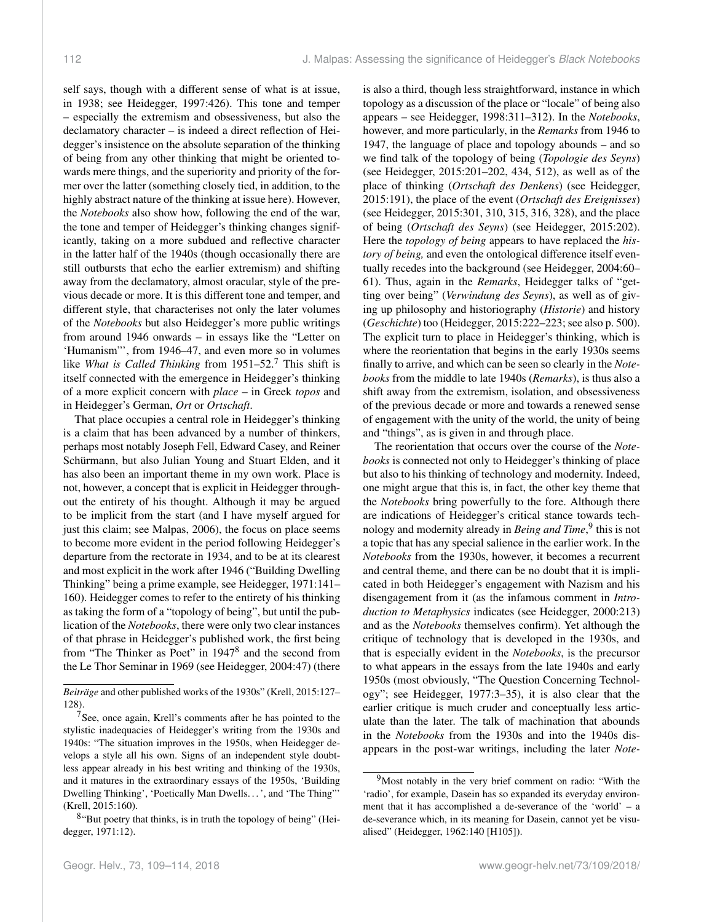self says, though with a different sense of what is at issue, in 1938; see Heidegger, 1997:426). This tone and temper – especially the extremism and obsessiveness, but also the declamatory character – is indeed a direct reflection of Heidegger's insistence on the absolute separation of the thinking of being from any other thinking that might be oriented towards mere things, and the superiority and priority of the former over the latter (something closely tied, in addition, to the highly abstract nature of the thinking at issue here). However, the *Notebooks* also show how, following the end of the war, the tone and temper of Heidegger's thinking changes significantly, taking on a more subdued and reflective character in the latter half of the 1940s (though occasionally there are still outbursts that echo the earlier extremism) and shifting away from the declamatory, almost oracular, style of the previous decade or more. It is this different tone and temper, and different style, that characterises not only the later volumes of the *Notebooks* but also Heidegger's more public writings from around 1946 onwards – in essays like the "Letter on 'Humanism"', from 1946–47, and even more so in volumes like *What is Called Thinking* from 1951–52.<sup>7</sup> This shift is itself connected with the emergence in Heidegger's thinking of a more explicit concern with *place* – in Greek *topos* and in Heidegger's German, *Ort* or *Ortschaft*.

That place occupies a central role in Heidegger's thinking is a claim that has been advanced by a number of thinkers, perhaps most notably Joseph Fell, Edward Casey, and Reiner Schürmann, but also Julian Young and Stuart Elden, and it has also been an important theme in my own work. Place is not, however, a concept that is explicit in Heidegger throughout the entirety of his thought. Although it may be argued to be implicit from the start (and I have myself argued for just this claim; see Malpas, 2006), the focus on place seems to become more evident in the period following Heidegger's departure from the rectorate in 1934, and to be at its clearest and most explicit in the work after 1946 ("Building Dwelling Thinking" being a prime example, see Heidegger, 1971:141– 160). Heidegger comes to refer to the entirety of his thinking as taking the form of a "topology of being", but until the publication of the *Notebooks*, there were only two clear instances of that phrase in Heidegger's published work, the first being from "The Thinker as Poet" in 1947<sup>8</sup> and the second from the Le Thor Seminar in 1969 (see Heidegger, 2004:47) (there

is also a third, though less straightforward, instance in which topology as a discussion of the place or "locale" of being also appears – see Heidegger, 1998:311–312). In the *Notebooks*, however, and more particularly, in the *Remarks* from 1946 to 1947, the language of place and topology abounds – and so we find talk of the topology of being (*Topologie des Seyns*) (see Heidegger, 2015:201–202, 434, 512), as well as of the place of thinking (*Ortschaft des Denkens*) (see Heidegger, 2015:191), the place of the event (*Ortschaft des Ereignisses*) (see Heidegger, 2015:301, 310, 315, 316, 328), and the place of being (*Ortschaft des Seyns*) (see Heidegger, 2015:202). Here the *topology of being* appears to have replaced the *history of being,* and even the ontological difference itself eventually recedes into the background (see Heidegger, 2004:60– 61). Thus, again in the *Remarks*, Heidegger talks of "getting over being" (*Verwindung des Seyns*), as well as of giving up philosophy and historiography (*Historie*) and history (*Geschichte*) too (Heidegger, 2015:222–223; see also p. 500). The explicit turn to place in Heidegger's thinking, which is where the reorientation that begins in the early 1930s seems finally to arrive, and which can be seen so clearly in the *Notebooks* from the middle to late 1940s (*Remarks*), is thus also a shift away from the extremism, isolation, and obsessiveness of the previous decade or more and towards a renewed sense of engagement with the unity of the world, the unity of being and "things", as is given in and through place.

The reorientation that occurs over the course of the *Notebooks* is connected not only to Heidegger's thinking of place but also to his thinking of technology and modernity. Indeed, one might argue that this is, in fact, the other key theme that the *Notebooks* bring powerfully to the fore. Although there are indications of Heidegger's critical stance towards technology and modernity already in *Being and Time*, 9 this is not a topic that has any special salience in the earlier work. In the *Notebooks* from the 1930s, however, it becomes a recurrent and central theme, and there can be no doubt that it is implicated in both Heidegger's engagement with Nazism and his disengagement from it (as the infamous comment in *Introduction to Metaphysics* indicates (see Heidegger, 2000:213) and as the *Notebooks* themselves confirm). Yet although the critique of technology that is developed in the 1930s, and that is especially evident in the *Notebooks*, is the precursor to what appears in the essays from the late 1940s and early 1950s (most obviously, "The Question Concerning Technology"; see Heidegger, 1977:3–35), it is also clear that the earlier critique is much cruder and conceptually less articulate than the later. The talk of machination that abounds in the *Notebooks* from the 1930s and into the 1940s disappears in the post-war writings, including the later *Note-*

*Beiträge* and other published works of the 1930s" (Krell, 2015:127– 128).

 $7$ See, once again, Krell's comments after he has pointed to the stylistic inadequacies of Heidegger's writing from the 1930s and 1940s: "The situation improves in the 1950s, when Heidegger develops a style all his own. Signs of an independent style doubtless appear already in his best writing and thinking of the 1930s, and it matures in the extraordinary essays of the 1950s, 'Building Dwelling Thinking', 'Poetically Man Dwells. . . ', and 'The Thing"' (Krell, 2015:160).

<sup>&</sup>lt;sup>8</sup>"But poetry that thinks, is in truth the topology of being" (Heidegger, 1971:12).

<sup>9</sup>Most notably in the very brief comment on radio: "With the 'radio', for example, Dasein has so expanded its everyday environment that it has accomplished a de-severance of the 'world' – a de-severance which, in its meaning for Dasein, cannot yet be visualised" (Heidegger, 1962:140 [H105]).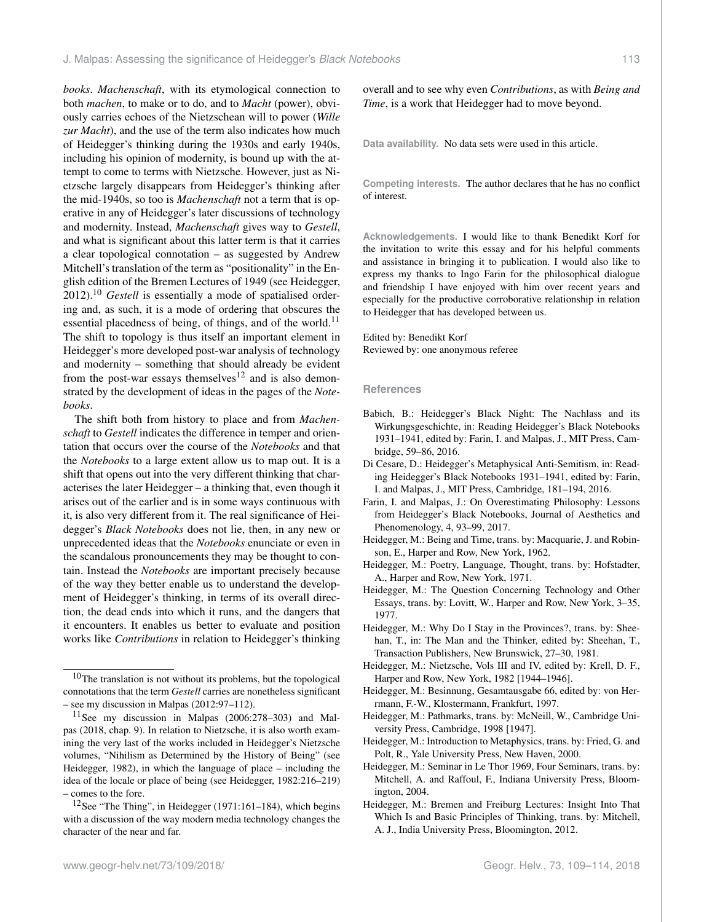*books*. *Machenschaft*, with its etymological connection to both *machen*, to make or to do, and to *Macht* (power), obviously carries echoes of the Nietzschean will to power (*Wille zur Macht*), and the use of the term also indicates how much of Heidegger's thinking during the 1930s and early 1940s, including his opinion of modernity, is bound up with the attempt to come to terms with Nietzsche. However, just as Nietzsche largely disappears from Heidegger's thinking after the mid-1940s, so too is *Machenschaft* not a term that is operative in any of Heidegger's later discussions of technology and modernity. Instead, *Machenschaft* gives way to *Gestell*, and what is significant about this latter term is that it carries a clear topological connotation – as suggested by Andrew Mitchell's translation of the term as "positionality" in the English edition of the Bremen Lectures of 1949 (see Heidegger, 2012).<sup>10</sup> *Gestell* is essentially a mode of spatialised ordering and, as such, it is a mode of ordering that obscures the essential placedness of being, of things, and of the world.<sup>11</sup> The shift to topology is thus itself an important element in Heidegger's more developed post-war analysis of technology and modernity – something that should already be evident from the post-war essays themselves<sup>12</sup> and is also demonstrated by the development of ideas in the pages of the *Notebooks*.

The shift both from history to place and from *Machenschaft* to *Gestell* indicates the difference in temper and orientation that occurs over the course of the *Notebooks* and that the *Notebooks* to a large extent allow us to map out. It is a shift that opens out into the very different thinking that characterises the later Heidegger – a thinking that, even though it arises out of the earlier and is in some ways continuous with it, is also very different from it. The real significance of Heidegger's *Black Notebooks* does not lie, then, in any new or unprecedented ideas that the *Notebooks* enunciate or even in the scandalous pronouncements they may be thought to contain. Instead the *Notebooks* are important precisely because of the way they better enable us to understand the development of Heidegger's thinking, in terms of its overall direction, the dead ends into which it runs, and the dangers that it encounters. It enables us better to evaluate and position works like *Contributions* in relation to Heidegger's thinking

overall and to see why even *Contributions*, as with *Being and Time*, is a work that Heidegger had to move beyond.

**Data availability.** No data sets were used in this article.

**Competing interests.** The author declares that he has no conflict of interest.

**Acknowledgements.** I would like to thank Benedikt Korf for the invitation to write this essay and for his helpful comments and assistance in bringing it to publication. I would also like to express my thanks to Ingo Farin for the philosophical dialogue and friendship I have enjoyed with him over recent years and especially for the productive corroborative relationship in relation to Heidegger that has developed between us.

### Edited by: Benedikt Korf Reviewed by: one anonymous referee

### **References**

- Babich, B.: Heidegger's Black Night: The Nachlass and its Wirkungsgeschichte, in: Reading Heidegger's Black Notebooks 1931–1941, edited by: Farin, I. and Malpas, J., MIT Press, Cambridge, 59–86, 2016.
- Di Cesare, D.: Heidegger's Metaphysical Anti-Semitism, in: Reading Heidegger's Black Notebooks 1931–1941, edited by: Farin, I. and Malpas, J., MIT Press, Cambridge, 181–194, 2016.
- Farin, I. and Malpas, J.: On Overestimating Philosophy: Lessons from Heidegger's Black Notebooks, Journal of Aesthetics and Phenomenology, 4, 93–99, 2017.
- Heidegger, M.: Being and Time, trans. by: Macquarie, J. and Robinson, E., Harper and Row, New York, 1962.
- Heidegger, M.: Poetry, Language, Thought, trans. by: Hofstadter, A., Harper and Row, New York, 1971.
- Heidegger, M.: The Question Concerning Technology and Other Essays, trans. by: Lovitt, W., Harper and Row, New York, 3–35, 1977.
- Heidegger, M.: Why Do I Stay in the Provinces?, trans. by: Sheehan, T., in: The Man and the Thinker, edited by: Sheehan, T., Transaction Publishers, New Brunswick, 27–30, 1981.
- Heidegger, M.: Nietzsche, Vols III and IV, edited by: Krell, D. F., Harper and Row, New York, 1982 [1944–1946].
- Heidegger, M.: Besinnung, Gesamtausgabe 66, edited by: von Herrmann, F.-W., Klostermann, Frankfurt, 1997.
- Heidegger, M.: Pathmarks, trans. by: McNeill, W., Cambridge University Press, Cambridge, 1998 [1947].
- Heidegger, M.: Introduction to Metaphysics, trans. by: Fried, G. and Polt, R., Yale University Press, New Haven, 2000.
- Heidegger, M.: Seminar in Le Thor 1969, Four Seminars, trans. by: Mitchell, A. and Raffoul, F., Indiana University Press, Bloomington, 2004.
- Heidegger, M.: Bremen and Freiburg Lectures: Insight Into That Which Is and Basic Principles of Thinking, trans. by: Mitchell, A. J., India University Press, Bloomington, 2012.

<sup>&</sup>lt;sup>10</sup>The translation is not without its problems, but the topological connotations that the term *Gestell* carries are nonetheless significant – see my discussion in Malpas (2012:97–112).

<sup>11</sup>See my discussion in Malpas (2006:278–303) and Malpas (2018, chap. 9). In relation to Nietzsche, it is also worth examining the very last of the works included in Heidegger's Nietzsche volumes, "Nihilism as Determined by the History of Being" (see Heidegger, 1982), in which the language of place – including the idea of the locale or place of being (see Heidegger, 1982:216–219) – comes to the fore.

<sup>&</sup>lt;sup>12</sup>See "The Thing", in Heidegger (1971:161–184), which begins with a discussion of the way modern media technology changes the character of the near and far.